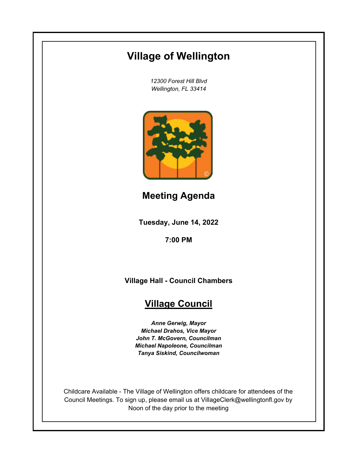# **Village of Wellington**

*12300 Forest Hill Blvd Wellington, FL 33414*



**Meeting Agenda**

**Tuesday, June 14, 2022**

**7:00 PM**

**Village Hall - Council Chambers**

## **Village Council**

*Anne Gerwig, Mayor Michael Drahos, Vice Mayor John T. McGovern, Councilman Michael Napoleone, Councilman Tanya Siskind, Councilwoman*

Childcare Available - The Village of Wellington offers childcare for attendees of the Council Meetings. To sign up, please email us at VillageClerk@wellingtonfl.gov by Noon of the day prior to the meeting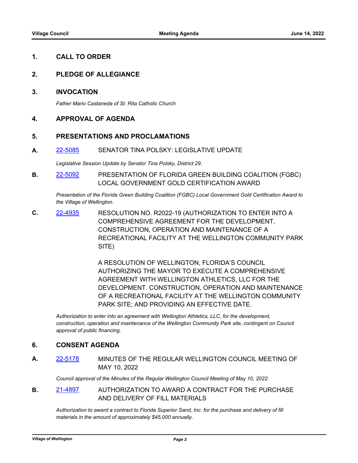#### **1. CALL TO ORDER**

#### **2. PLEDGE OF ALLEGIANCE**

#### **3. INVOCATION**

*Father Mario Castaneda of St. Rita Catholic Church*

#### **4. APPROVAL OF AGENDA**

#### **5. PRESENTATIONS AND PROCLAMATIONS**

**A.** [22-5085](http://wellington.legistar.com/gateway.aspx?m=l&id=/matter.aspx?key=12179) SENATOR TINA POLSKY: LEGISLATIVE UPDATE

*Legislative Session Update by Senator Tina Polsky, District 29.*

**B.** [22-5092](http://wellington.legistar.com/gateway.aspx?m=l&id=/matter.aspx?key=12189) PRESENTATION OF FLORIDA GREEN BUILDING COALITION (FGBC) LOCAL GOVERNMENT GOLD CERTIFICATION AWARD

*Presentation of the Florida Green Building Coalition (FGBC) Local Government Gold Certification Award to the Village of Wellington.*

**C.** [22-4935](http://wellington.legistar.com/gateway.aspx?m=l&id=/matter.aspx?key=12018) RESOLUTION NO. R2022-19 (AUTHORIZATION TO ENTER INTO A COMPREHENSIVE AGREEMENT FOR THE DEVELOPMENT, CONSTRUCTION, OPERATION AND MAINTENANCE OF A RECREATIONAL FACILITY AT THE WELLINGTON COMMUNITY PARK SITE)

> A RESOLUTION OF WELLINGTON, FLORIDA'S COUNCIL AUTHORIZING THE MAYOR TO EXECUTE A COMPREHENSIVE AGREEMENT WITH WELLINGTON ATHLETICS, LLC FOR THE DEVELOPMENT. CONSTRUCTION, OPERATION AND MAINTENANCE OF A RECREATIONAL FACILITY AT THE WELLINGTON COMMUNITY PARK SITE; AND PROVIDING AN EFFECTIVE DATE.

*Authorization to enter into an agreement with Wellington Athletics, LLC, for the development, construction, operation and maintenance of the Wellington Community Park site, contingent on Council approval of public financing.*

#### **6. CONSENT AGENDA**

**A.** [22-5178](http://wellington.legistar.com/gateway.aspx?m=l&id=/matter.aspx?key=12277) MINUTES OF THE REGULAR WELLINGTON COUNCIL MEETING OF MAY 10, 2022

*Council approval of the Minutes of the Regular Wellington Council Meeting of May 10, 2022.*

**B.** [21-4897](http://wellington.legistar.com/gateway.aspx?m=l&id=/matter.aspx?key=11978) AUTHORIZATION TO AWARD A CONTRACT FOR THE PURCHASE AND DELIVERY OF FILL MATERIALS

*Authorization to award a contract to Florida Superior Sand, Inc. for the purchase and delivery of fill materials in the amount of approximately \$45,000 annually.*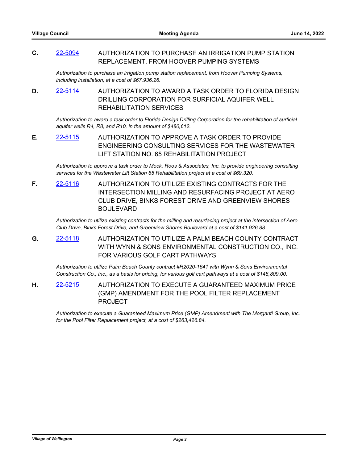**C.** [22-5094](http://wellington.legistar.com/gateway.aspx?m=l&id=/matter.aspx?key=12191) AUTHORIZATION TO PURCHASE AN IRRIGATION PUMP STATION REPLACEMENT, FROM HOOVER PUMPING SYSTEMS

*Authorization to purchase an irrigation pump station replacement, from Hoover Pumping Systems, including installation, at a cost of \$67,936.26.*

**D.** [22-5114](http://wellington.legistar.com/gateway.aspx?m=l&id=/matter.aspx?key=12213) AUTHORIZATION TO AWARD A TASK ORDER TO FLORIDA DESIGN DRILLING CORPORATION FOR SURFICIAL AQUIFER WELL REHABILITATION SERVICES

*Authorization to award a task order to Florida Design Drilling Corporation for the rehabilitation of surficial aquifer wells R4, R8, and R10, in the amount of \$480,612.*

**E.** [22-5115](http://wellington.legistar.com/gateway.aspx?m=l&id=/matter.aspx?key=12214) AUTHORIZATION TO APPROVE A TASK ORDER TO PROVIDE ENGINEERING CONSULTING SERVICES FOR THE WASTEWATER LIFT STATION NO. 65 REHABILITATION PROJECT

*Authorization to approve a task order to Mock, Roos & Associates, Inc. to provide engineering consulting services for the Wastewater Lift Station 65 Rehabilitation project at a cost of \$69,320.*

**F.** [22-5116](http://wellington.legistar.com/gateway.aspx?m=l&id=/matter.aspx?key=12215) AUTHORIZATION TO UTILIZE EXISTING CONTRACTS FOR THE INTERSECTION MILLING AND RESURFACING PROJECT AT AERO CLUB DRIVE, BINKS FOREST DRIVE AND GREENVIEW SHORES BOULEVARD

*Authorization to utilize existing contracts for the milling and resurfacing project at the intersection of Aero Club Drive, Binks Forest Drive, and Greenview Shores Boulevard at a cost of \$141,926.88.*

**G.** [22-5118](http://wellington.legistar.com/gateway.aspx?m=l&id=/matter.aspx?key=12217) AUTHORIZATION TO UTILIZE A PALM BEACH COUNTY CONTRACT WITH WYNN & SONS ENVIRONMENTAL CONSTRUCTION CO., INC. FOR VARIOUS GOLF CART PATHWAYS

*Authorization to utilize Palm Beach County contract #R2020-1641 with Wynn & Sons Environmental Construction Co., Inc., as a basis for pricing, for various golf cart pathways at a cost of \$148,809.00.*

**H.** [22-5215](http://wellington.legistar.com/gateway.aspx?m=l&id=/matter.aspx?key=12318) AUTHORIZATION TO EXECUTE A GUARANTEED MAXIMUM PRICE (GMP) AMENDMENT FOR THE POOL FILTER REPLACEMENT PROJECT

*Authorization to execute a Guaranteed Maximum Price (GMP) Amendment with The Morganti Group, Inc. for the Pool Filter Replacement project, at a cost of \$263,426.84.*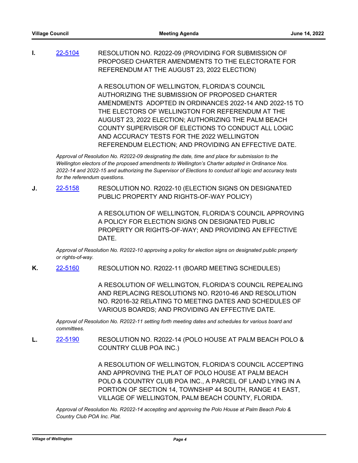**I.** [22-5104](http://wellington.legistar.com/gateway.aspx?m=l&id=/matter.aspx?key=12202) RESOLUTION NO. R2022-09 (PROVIDING FOR SUBMISSION OF PROPOSED CHARTER AMENDMENTS TO THE ELECTORATE FOR REFERENDUM AT THE AUGUST 23, 2022 ELECTION)

> A RESOLUTION OF WELLINGTON, FLORIDA'S COUNCIL AUTHORIZING THE SUBMISSION OF PROPOSED CHARTER AMENDMENTS ADOPTED IN ORDINANCES 2022-14 AND 2022-15 TO THE ELECTORS OF WELLINGTON FOR REFERENDUM AT THE AUGUST 23, 2022 ELECTION; AUTHORIZING THE PALM BEACH COUNTY SUPERVISOR OF ELECTIONS TO CONDUCT ALL LOGIC AND ACCURACY TESTS FOR THE 2022 WELLINGTON REFERENDUM ELECTION; AND PROVIDING AN EFFECTIVE DATE.

*Approval of Resolution No. R2022-09 designating the date, time and place for submission to the Wellington electors of the proposed amendments to Wellington's Charter adopted in Ordinance Nos. 2022-14 and 2022-15 and authorizing the Supervisor of Elections to conduct all logic and accuracy tests for the referendum questions.*

**J.** [22-5158](http://wellington.legistar.com/gateway.aspx?m=l&id=/matter.aspx?key=12257) RESOLUTION NO. R2022-10 (ELECTION SIGNS ON DESIGNATED PUBLIC PROPERTY AND RIGHTS-OF-WAY POLICY)

> A RESOLUTION OF WELLINGTON, FLORIDA'S COUNCIL APPROVING A POLICY FOR ELECTION SIGNS ON DESIGNATED PUBLIC PROPERTY OR RIGHTS-OF-WAY; AND PROVIDING AN EFFECTIVE DATE.

*Approval of Resolution No. R2022-10 approving a policy for election signs on designated public property or rights-of-way.*

**K.** [22-5160](http://wellington.legistar.com/gateway.aspx?m=l&id=/matter.aspx?key=12259) RESOLUTION NO. R2022-11 (BOARD MEETING SCHEDULES)

A RESOLUTION OF WELLINGTON, FLORIDA'S COUNCIL REPEALING AND REPLACING RESOLUTIONS NO. R2010-46 AND RESOLUTION NO. R2016-32 RELATING TO MEETING DATES AND SCHEDULES OF VARIOUS BOARDS; AND PROVIDING AN EFFECTIVE DATE.

*Approval of Resolution No. R2022-11 setting forth meeting dates and schedules for various board and committees.*

**L.** [22-5190](http://wellington.legistar.com/gateway.aspx?m=l&id=/matter.aspx?key=12292) RESOLUTION NO. R2022-14 (POLO HOUSE AT PALM BEACH POLO & COUNTRY CLUB POA INC.)

> A RESOLUTION OF WELLINGTON, FLORIDA'S COUNCIL ACCEPTING AND APPROVING THE PLAT OF POLO HOUSE AT PALM BEACH POLO & COUNTRY CLUB POA INC., A PARCEL OF LAND LYING IN A PORTION OF SECTION 14, TOWNSHIP 44 SOUTH, RANGE 41 EAST, VILLAGE OF WELLINGTON, PALM BEACH COUNTY, FLORIDA.

*Approval of Resolution No. R2022-14 accepting and approving the Polo House at Palm Beach Polo & Country Club POA Inc. Plat.*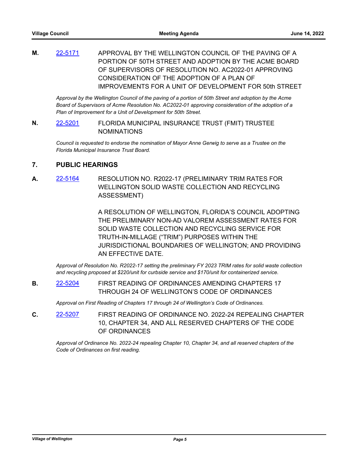**M.** [22-5171](http://wellington.legistar.com/gateway.aspx?m=l&id=/matter.aspx?key=12270) APPROVAL BY THE WELLINGTON COUNCIL OF THE PAVING OF A PORTION OF 50TH STREET AND ADOPTION BY THE ACME BOARD OF SUPERVISORS OF RESOLUTION NO. AC2022-01 APPROVING CONSIDERATION OF THE ADOPTION OF A PLAN OF IMPROVEMENTS FOR A UNIT OF DEVELOPMENT FOR 50th STREET

*Approval by the Wellington Council of the paving of a portion of 50th Street and adoption by the Acme Board of Supervisors of Acme Resolution No. AC2022-01 approving consideration of the adoption of a Plan of Improvement for a Unit of Development for 50th Street.*

**N.** [22-5201](http://wellington.legistar.com/gateway.aspx?m=l&id=/matter.aspx?key=12306) FLORIDA MUNICIPAL INSURANCE TRUST (FMIT) TRUSTEE NOMINATIONS

*Council is requested to endorse the nomination of Mayor Anne Gerwig to serve as a Trustee on the Florida Municipal Insurance Trust Board.*

### **7. PUBLIC HEARINGS**

**A.** [22-5164](http://wellington.legistar.com/gateway.aspx?m=l&id=/matter.aspx?key=12263) RESOLUTION NO. R2022-17 (PRELIMINARY TRIM RATES FOR WELLINGTON SOLID WASTE COLLECTION AND RECYCLING ASSESSMENT)

> A RESOLUTION OF WELLINGTON, FLORIDA'S COUNCIL ADOPTING THE PRELIMINARY NON-AD VALOREM ASSESSMENT RATES FOR SOLID WASTE COLLECTION AND RECYCLING SERVICE FOR TRUTH-IN-MILLAGE ("TRIM") PURPOSES WITHIN THE JURISDICTIONAL BOUNDARIES OF WELLINGTON; AND PROVIDING AN EFFECTIVE DATE.

*Approval of Resolution No. R2022-17 setting the preliminary FY 2023 TRIM rates for solid waste collection and recycling proposed at \$220/unit for curbside service and \$170/unit for containerized service.*

**B.** [22-5204](http://wellington.legistar.com/gateway.aspx?m=l&id=/matter.aspx?key=12310) FIRST READING OF ORDINANCES AMENDING CHAPTERS 17 THROUGH 24 OF WELLINGTON'S CODE OF ORDINANCES

*Approval on First Reading of Chapters 17 through 24 of Wellington's Code of Ordinances.*

**C.** [22-5207](http://wellington.legistar.com/gateway.aspx?m=l&id=/matter.aspx?key=12314) FIRST READING OF ORDINANCE NO. 2022-24 REPEALING CHAPTER 10, CHAPTER 34, AND ALL RESERVED CHAPTERS OF THE CODE OF ORDINANCES

*Approval of Ordinance No. 2022-24 repealing Chapter 10, Chapter 34, and all reserved chapters of the Code of Ordinances on first reading.*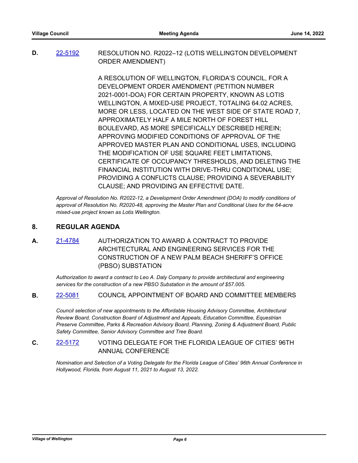**D.** [22-5192](http://wellington.legistar.com/gateway.aspx?m=l&id=/matter.aspx?key=12294) RESOLUTION NO. R2022–12 (LOTIS WELLINGTON DEVELOPMENT ORDER AMENDMENT)

> A RESOLUTION OF WELLINGTON, FLORIDA'S COUNCIL, FOR A DEVELOPMENT ORDER AMENDMENT (PETITION NUMBER 2021-0001-DOA) FOR CERTAIN PROPERTY, KNOWN AS LOTIS WELLINGTON, A MIXED-USE PROJECT, TOTALING 64.02 ACRES, MORE OR LESS, LOCATED ON THE WEST SIDE OF STATE ROAD 7, APPROXIMATELY HALF A MILE NORTH OF FOREST HILL BOULEVARD, AS MORE SPECIFICALLY DESCRIBED HEREIN; APPROVING MODIFIED CONDITIONS OF APPROVAL OF THE APPROVED MASTER PLAN AND CONDITIONAL USES, INCLUDING THE MODIFICATION OF USE SQUARE FEET LIMITATIONS, CERTIFICATE OF OCCUPANCY THRESHOLDS, AND DELETING THE FINANCIAL INSTITUTION WITH DRIVE-THRU CONDITIONAL USE; PROVIDING A CONFLICTS CLAUSE; PROVIDING A SEVERABILITY CLAUSE; AND PROVIDING AN EFFECTIVE DATE.

*Approval of Resolution No. R2022-12, a Development Order Amendment (DOA) to modify conditions of approval of Resolution No. R2020-48, approving the Master Plan and Conditional Uses for the 64-acre mixed-use project known as Lotis Wellington.*

#### **8. REGULAR AGENDA**

**A.** [21-4784](http://wellington.legistar.com/gateway.aspx?m=l&id=/matter.aspx?key=11850) AUTHORIZATION TO AWARD A CONTRACT TO PROVIDE ARCHITECTURAL AND ENGINEERING SERVICES FOR THE CONSTRUCTION OF A NEW PALM BEACH SHERIFF'S OFFICE (PBSO) SUBSTATION

*Authorization to award a contract to Leo A. Daly Company to provide architectural and engineering services for the construction of a new PBSO Substation in the amount of \$57.005.*

**B.** [22-5081](http://wellington.legistar.com/gateway.aspx?m=l&id=/matter.aspx?key=12174) COUNCIL APPOINTMENT OF BOARD AND COMMITTEE MEMBERS

*Council selection of new appointments to the Affordable Housing Advisory Committee, Architectural Review Board, Construction Board of Adjustment and Appeals, Education Committee, Equestrian Preserve Committee, Parks & Recreation Advisory Board, Planning, Zoning & Adjustment Board, Public Safety Committee, Senior Advisory Committee and Tree Board.*

## **C.** [22-5172](http://wellington.legistar.com/gateway.aspx?m=l&id=/matter.aspx?key=12271) VOTING DELEGATE FOR THE FLORIDA LEAGUE OF CITIES' 96TH ANNUAL CONFERENCE

*Nomination and Selection of a Voting Delegate for the Florida League of Cities' 96th Annual Conference in Hollywood, Florida, from August 11, 2021 to August 13, 2022.*